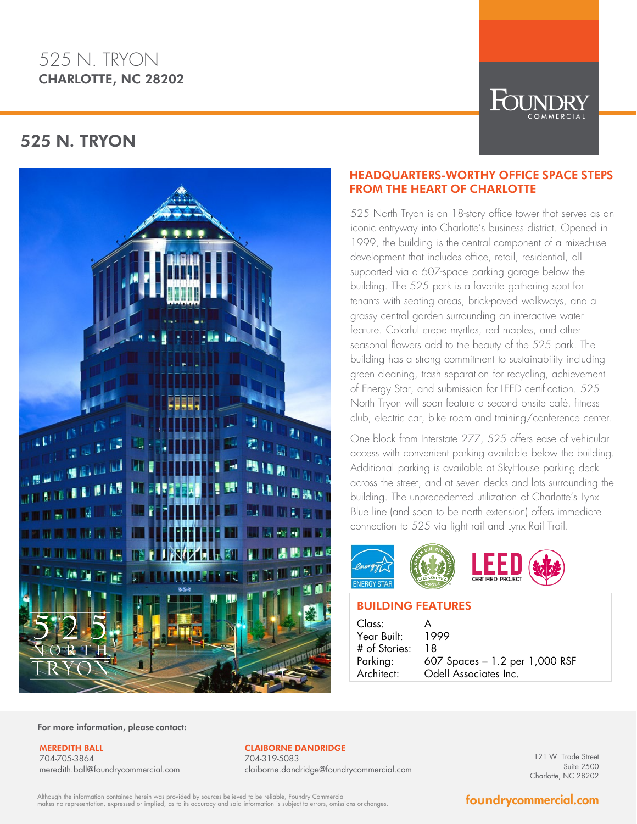# 525 N. TRYON CHARLOTTE, NC 28202



# 525 N. TRYON



## HEADQUARTERS-WORTHY OFFICE SPACE STEPS FROM THE HEART OF CHARLOTTE

525 North Tryon is an 18-story office tower that serves as an iconic entryway into Charlotte's business district. Opened in 1999, the building is the central component of a mixed-use development that includes office, retail, residential, all supported via a 607-space parking garage below the building. The 525 park is a favorite gathering spot for tenants with seating areas, brick-paved walkways, and a grassy central garden surrounding an interactive water feature. Colorful crepe myrtles, red maples, and other seasonal flowers add to the beauty of the 525 park. The building has a strong commitment to sustainability including green cleaning, trash separation for recycling, achievement of Energy Star, and submission for LEED certification. 525 North Tryon will soon feature a second onsite café, fitness club, electric car, bike room and training/conference center.

One block from Interstate 277, 525 offers ease of vehicular access with convenient parking available below the building. Additional parking is available at SkyHouse parking deck across the street, and at seven decks and lots surrounding the building. The unprecedented utilization of Charlotte's Lynx Blue line (and soon to be north extension) offers immediate connection to 525 via light rail and Lynx Rail Trail.





## BUILDING FEATURES

| Class:        |                                |
|---------------|--------------------------------|
| Year Built:   | 1999                           |
| # of Stories: | 18                             |
| Parking:      | 607 Spaces - 1.2 per 1,000 RSF |
| Architect:    | Odell Associates Inc.          |

For more information, please contact:

#### MEREDITH BALL 704-705-3864 meredith.ball@foundrycommercial.com

### CLAIBORNE DANDRIDGE

704-319-5083 claiborne.dandridge@foundrycommercial.com

121 W. Trade Street Suite 2500 Charlotte, NC 28202

Although the information contained herein was provided by sources believed to be reliable, Foundry Commercial<br>makes no representation, expressed or implied, as to its accuracy and said information is subject to errors, omi